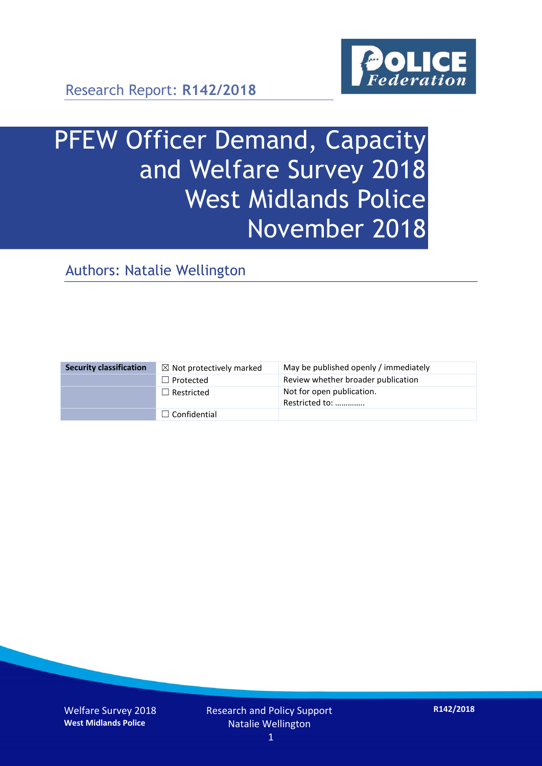

Research Report: **R142/2018**

# PFEW Officer Demand, Capacity and Welfare Survey 2018 West Midlands Police November 2018

Authors: Natalie Wellington

| <b>Security classification</b> | $\boxtimes$ Not protectively marked | May be published openly / immediately       |
|--------------------------------|-------------------------------------|---------------------------------------------|
|                                | $\Box$ Protected                    | Review whether broader publication          |
|                                | $\Box$ Restricted                   | Not for open publication.<br>Restricted to: |
|                                | $\Box$ Confidential                 |                                             |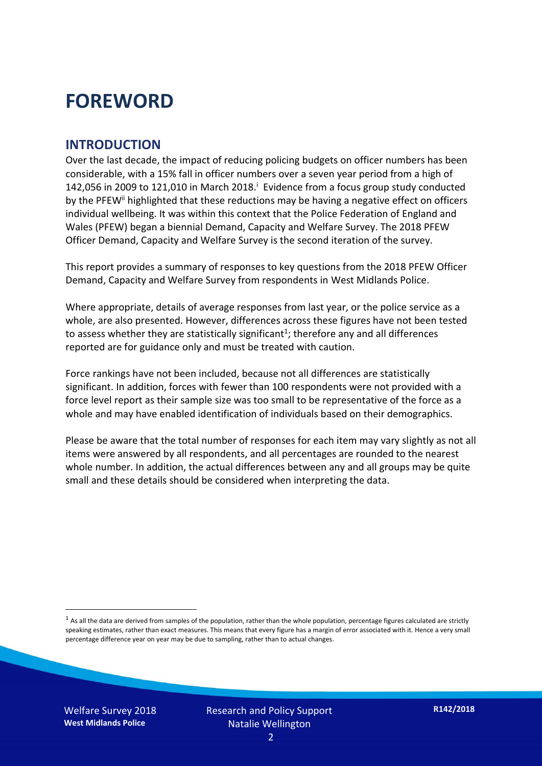### **FOREWORD**

#### **INTRODUCTION**

Over the last decade, the impact of reducing policing budgets on officer numbers has been considerable, with a 15% fall in officer numbers over a seven year period from a high of 142,056 in 2009 to 121,010 in March 2018. $^{\mathrm{i}}$  Evidence from a focus group study conducted by the PFEW<sup>ii</sup> highlighted that these reductions may be having a negative effect on officers individual wellbeing. It was within this context that the Police Federation of England and Wales (PFEW) began a biennial Demand, Capacity and Welfare Survey. The 2018 PFEW Officer Demand, Capacity and Welfare Survey is the second iteration of the survey.

This report provides a summary of responses to key questions from the 2018 PFEW Officer Demand, Capacity and Welfare Survey from respondents in West Midlands Police.

Where appropriate, details of average responses from last year, or the police service as a whole, are also presented. However, differences across these figures have not been tested to assess whether they are statistically significant<sup>1</sup>; therefore any and all differences reported are for guidance only and must be treated with caution.

Force rankings have not been included, because not all differences are statistically significant. In addition, forces with fewer than 100 respondents were not provided with a force level report as their sample size was too small to be representative of the force as a whole and may have enabled identification of individuals based on their demographics.

Please be aware that the total number of responses for each item may vary slightly as not all items were answered by all respondents, and all percentages are rounded to the nearest whole number. In addition, the actual differences between any and all groups may be quite small and these details should be considered when interpreting the data.

Welfare Survey 2018 **West Midlands Police**

-

 $<sup>1</sup>$  As all the data are derived from samples of the population, rather than the whole population, percentage figures calculated are strictly</sup> speaking estimates, rather than exact measures. This means that every figure has a margin of error associated with it. Hence a very small percentage difference year on year may be due to sampling, rather than to actual changes.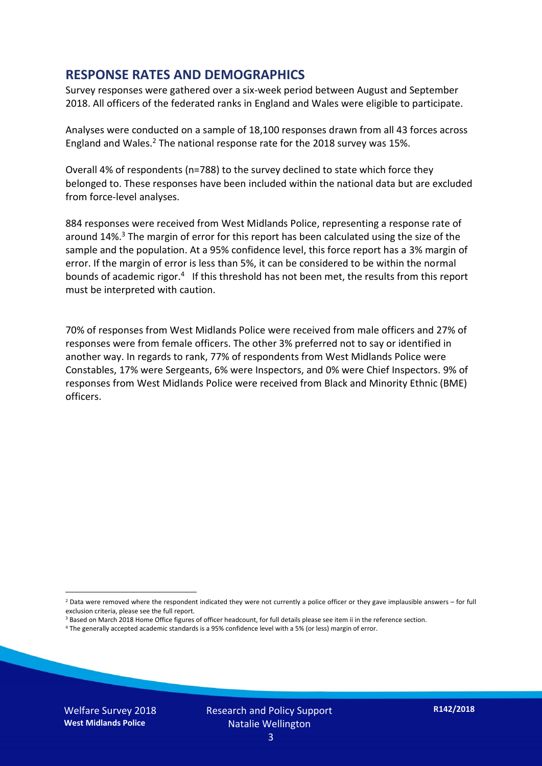#### **RESPONSE RATES AND DEMOGRAPHICS**

Survey responses were gathered over a six-week period between August and September 2018. All officers of the federated ranks in England and Wales were eligible to participate.

Analyses were conducted on a sample of 18,100 responses drawn from all 43 forces across England and Wales.<sup>2</sup> The national response rate for the 2018 survey was 15%.

Overall 4% of respondents (n=788) to the survey declined to state which force they belonged to. These responses have been included within the national data but are excluded from force-level analyses.

884 responses were received from West Midlands Police, representing a response rate of around 14%. <sup>3</sup> The margin of error for this report has been calculated using the size of the sample and the population. At a 95% confidence level, this force report has a 3% margin of error. If the margin of error is less than 5%, it can be considered to be within the normal bounds of academic rigor.<sup>4</sup> If this threshold has not been met, the results from this report must be interpreted with caution.

70% of responses from West Midlands Police were received from male officers and 27% of responses were from female officers. The other 3% preferred not to say or identified in another way. In regards to rank, 77% of respondents from West Midlands Police were Constables, 17% were Sergeants, 6% were Inspectors, and 0% were Chief Inspectors. 9% of responses from West Midlands Police were received from Black and Minority Ethnic (BME) officers.

-

 $2$  Data were removed where the respondent indicated they were not currently a police officer or they gave implausible answers – for full exclusion criteria, please see the full report.

<sup>3</sup> Based on March 2018 Home Office figures of officer headcount, for full details please see item ii in the reference section.

<sup>4</sup> The generally accepted academic standards is a 95% confidence level with a 5% (or less) margin of error.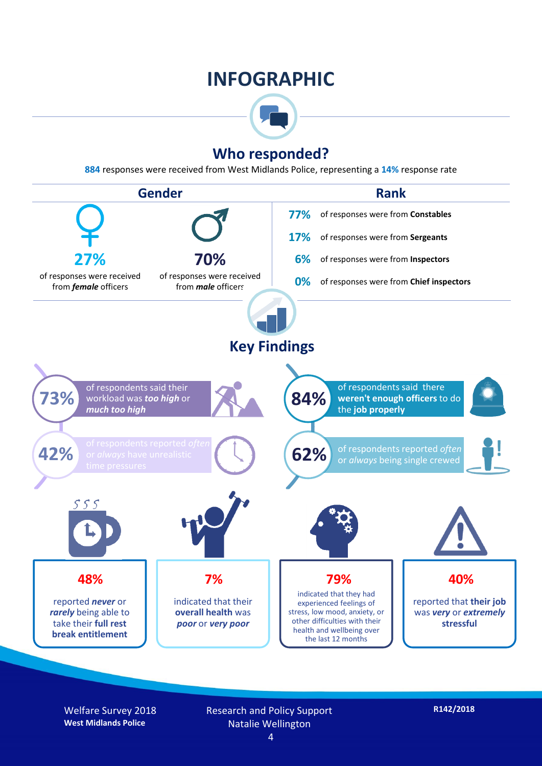### **INFOGRAPHIC**



#### **Who responded?**

**884** responses were received from West Midlands Police, representing a **14%** response rate



Welfare Survey 2018 **West Midlands Police**

Research and Policy Support Natalie Wellington 4

**R142/2018**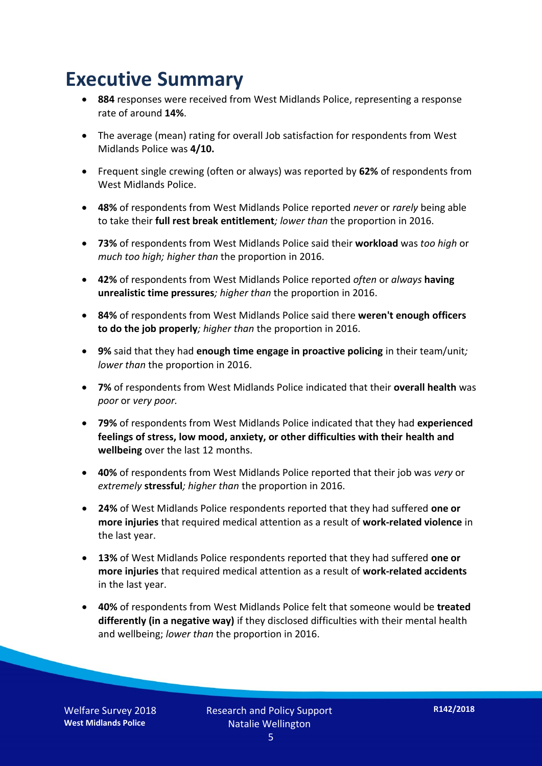### **Executive Summary**

- **884** responses were received from West Midlands Police, representing a response rate of around **14%**.
- The average (mean) rating for overall Job satisfaction for respondents from West Midlands Police was **4/10.**
- Frequent single crewing (often or always) was reported by **62%** of respondents from West Midlands Police.
- **48%** of respondents from West Midlands Police reported *never* or *rarely* being able to take their **full rest break entitlement***; lower than* the proportion in 2016.
- **73%** of respondents from West Midlands Police said their **workload** was *too high* or *much too high; higher than* the proportion in 2016.
- **42%** of respondents from West Midlands Police reported *often* or *always* **having unrealistic time pressures***; higher than* the proportion in 2016.
- **84%** of respondents from West Midlands Police said there **weren't enough officers to do the job properly***; higher than* the proportion in 2016.
- **9%** said that they had **enough time engage in proactive policing** in their team/unit*; lower than* the proportion in 2016.
- **7%** of respondents from West Midlands Police indicated that their **overall health** was *poor* or *very poor.*
- **79%** of respondents from West Midlands Police indicated that they had **experienced feelings of stress, low mood, anxiety, or other difficulties with their health and wellbeing** over the last 12 months.
- **40%** of respondents from West Midlands Police reported that their job was *very* or *extremely* **stressful***; higher than* the proportion in 2016.
- **24%** of West Midlands Police respondents reported that they had suffered **one or more injuries** that required medical attention as a result of **work-related violence** in the last year.
- **13%** of West Midlands Police respondents reported that they had suffered **one or more injuries** that required medical attention as a result of **work-related accidents**  in the last year.
- **40%** of respondents from West Midlands Police felt that someone would be **treated differently (in a negative way)** if they disclosed difficulties with their mental health and wellbeing; *lower than* the proportion in 2016.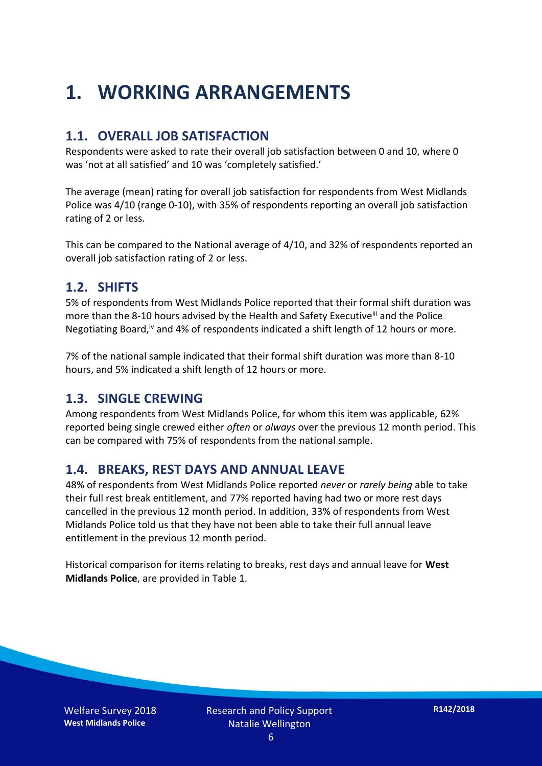### **1. WORKING ARRANGEMENTS**

#### **1.1. OVERALL JOB SATISFACTION**

Respondents were asked to rate their overall job satisfaction between 0 and 10, where 0 was 'not at all satisfied' and 10 was 'completely satisfied.'

The average (mean) rating for overall job satisfaction for respondents from West Midlands Police was 4/10 (range 0-10), with 35% of respondents reporting an overall job satisfaction rating of 2 or less.

This can be compared to the National average of 4/10, and 32% of respondents reported an overall job satisfaction rating of 2 or less.

#### **1.2. SHIFTS**

5% of respondents from West Midlands Police reported that their formal shift duration was more than the 8-10 hours advised by the Health and Safety Executive<sup>iii</sup> and the Police Negotiating Board,<sup>iv</sup> and 4% of respondents indicated a shift length of 12 hours or more.

7% of the national sample indicated that their formal shift duration was more than 8-10 hours, and 5% indicated a shift length of 12 hours or more.

#### **1.3. SINGLE CREWING**

Among respondents from West Midlands Police, for whom this item was applicable, 62% reported being single crewed either *often* or *always* over the previous 12 month period. This can be compared with 75% of respondents from the national sample.

#### **1.4. BREAKS, REST DAYS AND ANNUAL LEAVE**

48% of respondents from West Midlands Police reported *never* or *rarely being* able to take their full rest break entitlement, and 77% reported having had two or more rest days cancelled in the previous 12 month period. In addition, 33% of respondents from West Midlands Police told us that they have not been able to take their full annual leave entitlement in the previous 12 month period.

Historical comparison for items relating to breaks, rest days and annual leave for **West Midlands Police**, are provided in Table 1.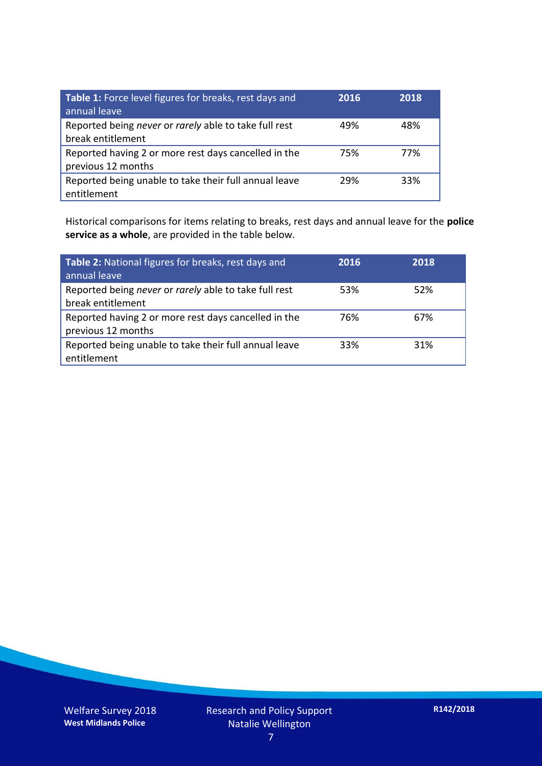| Table 1: Force level figures for breaks, rest days and<br>annual leave     | 2016 | 2018 |
|----------------------------------------------------------------------------|------|------|
| Reported being never or rarely able to take full rest<br>break entitlement | 49%  | 48%  |
| Reported having 2 or more rest days cancelled in the<br>previous 12 months | 75%  | 77%  |
| Reported being unable to take their full annual leave<br>entitlement       | 29%  | 33%  |

Historical comparisons for items relating to breaks, rest days and annual leave for the **police service as a whole**, are provided in the table below.

| Table 2: National figures for breaks, rest days and<br>annual leave        | 2016 | 2018 |
|----------------------------------------------------------------------------|------|------|
| Reported being never or rarely able to take full rest<br>break entitlement | 53%  | 52%  |
| Reported having 2 or more rest days cancelled in the<br>previous 12 months | 76%  | 67%  |
| Reported being unable to take their full annual leave<br>entitlement       | 33%  | 31%  |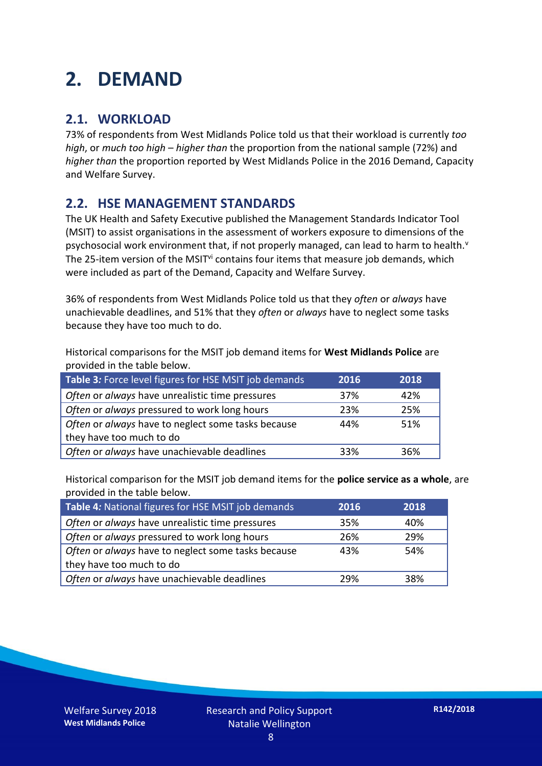### **2. DEMAND**

#### **2.1. WORKLOAD**

73% of respondents from West Midlands Police told us that their workload is currently *too high*, or *much too high* – *higher than* the proportion from the national sample (72%) and *higher than* the proportion reported by West Midlands Police in the 2016 Demand, Capacity and Welfare Survey.

#### **2.2. HSE MANAGEMENT STANDARDS**

The UK Health and Safety Executive published the Management Standards Indicator Tool (MSIT) to assist organisations in the assessment of workers exposure to dimensions of the psychosocial work environment that, if not properly managed, can lead to harm to health.<sup>v</sup> The 25-item version of the MSIT<sup>vi</sup> contains four items that measure job demands, which were included as part of the Demand, Capacity and Welfare Survey.

36% of respondents from West Midlands Police told us that they *often* or *always* have unachievable deadlines, and 51% that they *often* or *always* have to neglect some tasks because they have too much to do.

Historical comparisons for the MSIT job demand items for **West Midlands Police** are provided in the table below.

| Table 3: Force level figures for HSE MSIT job demands | 2016 | 2018 |
|-------------------------------------------------------|------|------|
| Often or always have unrealistic time pressures       | 37%  | 42%  |
| Often or always pressured to work long hours          | 23%  | 25%  |
| Often or always have to neglect some tasks because    | 44%  | 51%  |
| they have too much to do                              |      |      |
| Often or always have unachievable deadlines           | 33%  | 36%  |

Historical comparison for the MSIT job demand items for the **police service as a whole**, are provided in the table below.

| Table 4: National figures for HSE MSIT job demands | 2016 | 2018 |
|----------------------------------------------------|------|------|
| Often or always have unrealistic time pressures    | 35%  | 40%  |
| Often or always pressured to work long hours       | 26%  | 29%  |
| Often or always have to neglect some tasks because | 43%  | 54%  |
| they have too much to do                           |      |      |
| Often or always have unachievable deadlines        | 29%  | 38%  |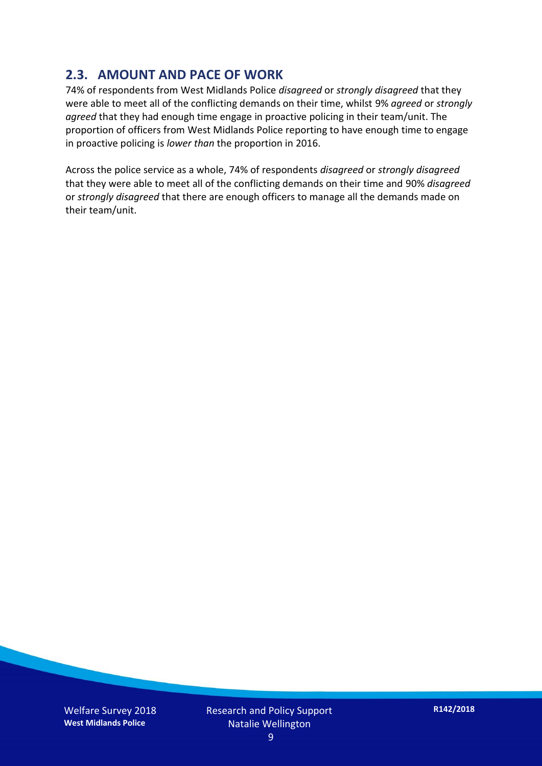#### **2.3. AMOUNT AND PACE OF WORK**

74% of respondents from West Midlands Police *disagreed* or *strongly disagreed* that they were able to meet all of the conflicting demands on their time, whilst 9% *agreed* or *strongly agreed* that they had enough time engage in proactive policing in their team/unit. The proportion of officers from West Midlands Police reporting to have enough time to engage in proactive policing is *lower than* the proportion in 2016.

Across the police service as a whole, 74% of respondents *disagreed* or *strongly disagreed* that they were able to meet all of the conflicting demands on their time and 90% *disagreed* or *strongly disagreed* that there are enough officers to manage all the demands made on their team/unit.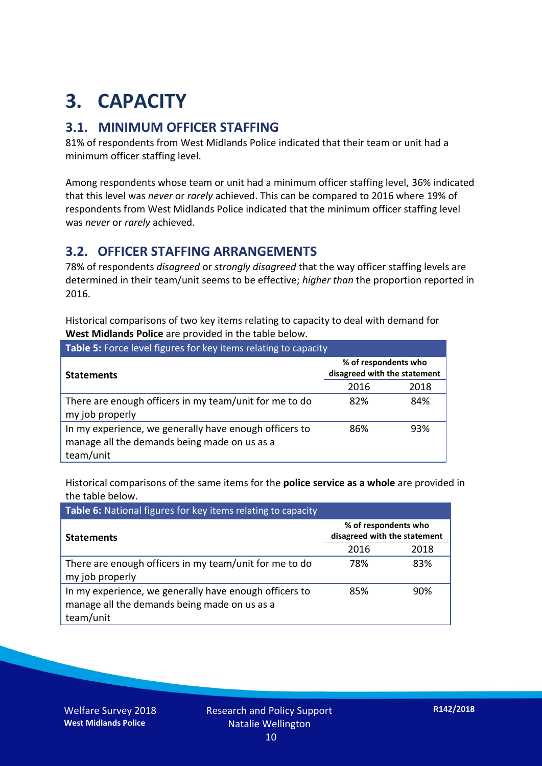## **3. CAPACITY**

#### **3.1. MINIMUM OFFICER STAFFING**

81% of respondents from West Midlands Police indicated that their team or unit had a minimum officer staffing level.

Among respondents whose team or unit had a minimum officer staffing level, 36% indicated that this level was *never* or *rarely* achieved. This can be compared to 2016 where 19% of respondents from West Midlands Police indicated that the minimum officer staffing level was *never* or *rarely* achieved.

#### **3.2. OFFICER STAFFING ARRANGEMENTS**

78% of respondents *disagreed* or *strongly disagreed* that the way officer staffing levels are determined in their team/unit seems to be effective; *higher than* the proportion reported in 2016.

Historical comparisons of two key items relating to capacity to deal with demand for **West Midlands Police** are provided in the table below.

| Table 5: Force level figures for key items relating to capacity                                                     |                                                      |      |  |
|---------------------------------------------------------------------------------------------------------------------|------------------------------------------------------|------|--|
| <b>Statements</b>                                                                                                   | % of respondents who<br>disagreed with the statement |      |  |
|                                                                                                                     | 2016                                                 | 2018 |  |
| There are enough officers in my team/unit for me to do<br>my job properly                                           | 82%                                                  | 84%  |  |
| In my experience, we generally have enough officers to<br>manage all the demands being made on us as a<br>team/unit | 86%                                                  | 93%  |  |

Historical comparisons of the same items for the **police service as a whole** are provided in the table below.

| Table 6: National figures for key items relating to capacity                                                        |                                                      |      |  |
|---------------------------------------------------------------------------------------------------------------------|------------------------------------------------------|------|--|
| <b>Statements</b>                                                                                                   | % of respondents who<br>disagreed with the statement |      |  |
|                                                                                                                     | 2016                                                 | 2018 |  |
| There are enough officers in my team/unit for me to do<br>my job properly                                           | 78%                                                  | 83%  |  |
| In my experience, we generally have enough officers to<br>manage all the demands being made on us as a<br>team/unit | 85%                                                  | 90%  |  |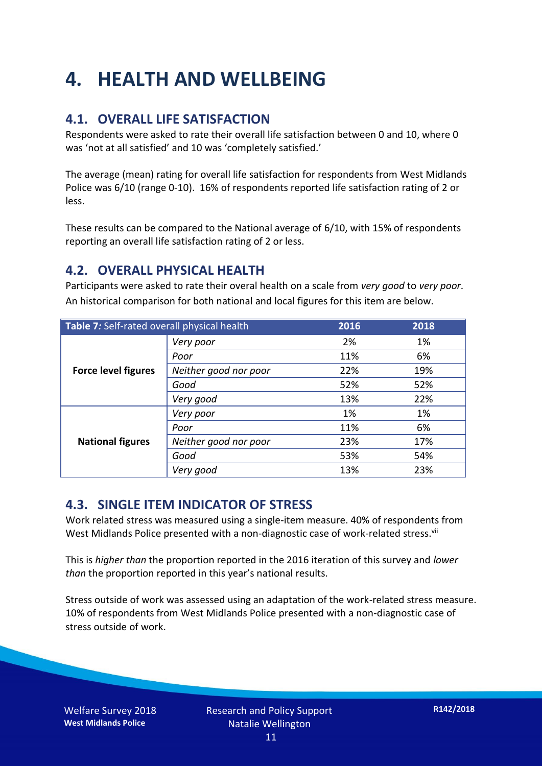### **4. HEALTH AND WELLBEING**

#### **4.1. OVERALL LIFE SATISFACTION**

Respondents were asked to rate their overall life satisfaction between 0 and 10, where 0 was 'not at all satisfied' and 10 was 'completely satisfied.'

The average (mean) rating for overall life satisfaction for respondents from West Midlands Police was 6/10 (range 0-10). 16% of respondents reported life satisfaction rating of 2 or less.

These results can be compared to the National average of 6/10, with 15% of respondents reporting an overall life satisfaction rating of 2 or less.

#### **4.2. OVERALL PHYSICAL HEALTH**

Participants were asked to rate their overal health on a scale from *very good* to *very poor*. An historical comparison for both national and local figures for this item are below.

| Table 7: Self-rated overall physical health |                       | 2016 | 2018 |
|---------------------------------------------|-----------------------|------|------|
|                                             | Very poor             | 2%   | 1%   |
|                                             | Poor                  | 11%  | 6%   |
| <b>Force level figures</b>                  | Neither good nor poor | 22%  | 19%  |
|                                             | Good                  | 52%  | 52%  |
|                                             | Very good             | 13%  | 22%  |
| <b>National figures</b>                     | Very poor             | 1%   | 1%   |
|                                             | Poor                  | 11%  | 6%   |
|                                             | Neither good nor poor | 23%  | 17%  |
|                                             | Good                  | 53%  | 54%  |
|                                             | Very good             | 13%  | 23%  |

#### **4.3. SINGLE ITEM INDICATOR OF STRESS**

Work related stress was measured using a single-item measure. 40% of respondents from West Midlands Police presented with a non-diagnostic case of work-related stress.<sup>vii</sup>

This is *higher than* the proportion reported in the 2016 iteration of this survey and *lower than* the proportion reported in this year's national results.

Stress outside of work was assessed using an adaptation of the work-related stress measure. 10% of respondents from West Midlands Police presented with a non-diagnostic case of stress outside of work.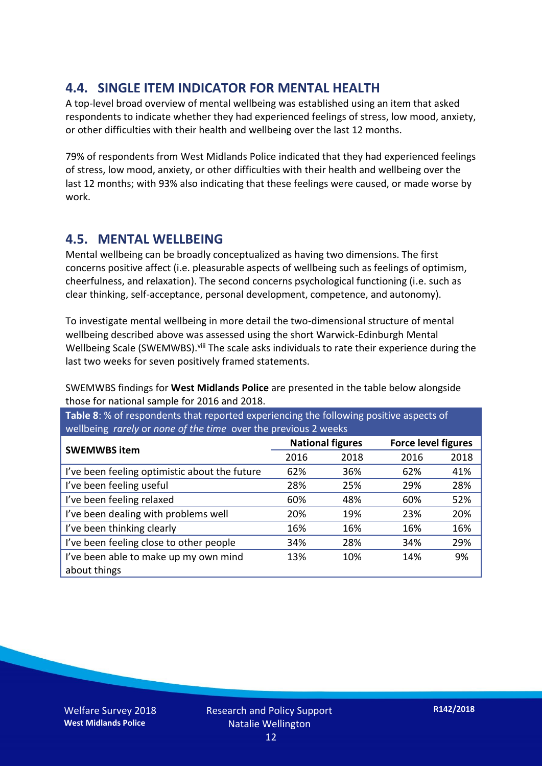#### **4.4. SINGLE ITEM INDICATOR FOR MENTAL HEALTH**

A top-level broad overview of mental wellbeing was established using an item that asked respondents to indicate whether they had experienced feelings of stress, low mood, anxiety, or other difficulties with their health and wellbeing over the last 12 months.

79% of respondents from West Midlands Police indicated that they had experienced feelings of stress, low mood, anxiety, or other difficulties with their health and wellbeing over the last 12 months; with 93% also indicating that these feelings were caused, or made worse by work.

#### **4.5. MENTAL WELLBEING**

Mental wellbeing can be broadly conceptualized as having two dimensions. The first concerns positive affect (i.e. pleasurable aspects of wellbeing such as feelings of optimism, cheerfulness, and relaxation). The second concerns psychological functioning (i.e. such as clear thinking, self-acceptance, personal development, competence, and autonomy).

To investigate mental wellbeing in more detail the two-dimensional structure of mental wellbeing described above was assessed using the short Warwick-Edinburgh Mental Wellbeing Scale (SWEMWBS). viii The scale asks individuals to rate their experience during the last two weeks for seven positively framed statements.

SWEMWBS findings for **West Midlands Police** are presented in the table below alongside those for national sample for 2016 and 2018.

**Table 8**: % of respondents that reported experiencing the following positive aspects of wellbeing *rarely* or *none of the time* over the previous 2 weeks

| <b>SWEMWBS item</b>                           | <b>National figures</b> |      | <b>Force level figures</b> |      |
|-----------------------------------------------|-------------------------|------|----------------------------|------|
|                                               | 2016                    | 2018 | 2016                       | 2018 |
| I've been feeling optimistic about the future | 62%                     | 36%  | 62%                        | 41%  |
| I've been feeling useful                      | 28%                     | 25%  | 29%                        | 28%  |
| I've been feeling relaxed                     | 60%                     | 48%  | 60%                        | 52%  |
| I've been dealing with problems well          | 20%                     | 19%  | 23%                        | 20%  |
| I've been thinking clearly                    | 16%                     | 16%  | 16%                        | 16%  |
| I've been feeling close to other people       | 34%                     | 28%  | 34%                        | 29%  |
| I've been able to make up my own mind         | 13%                     | 10%  | 14%                        | 9%   |
| about things                                  |                         |      |                            |      |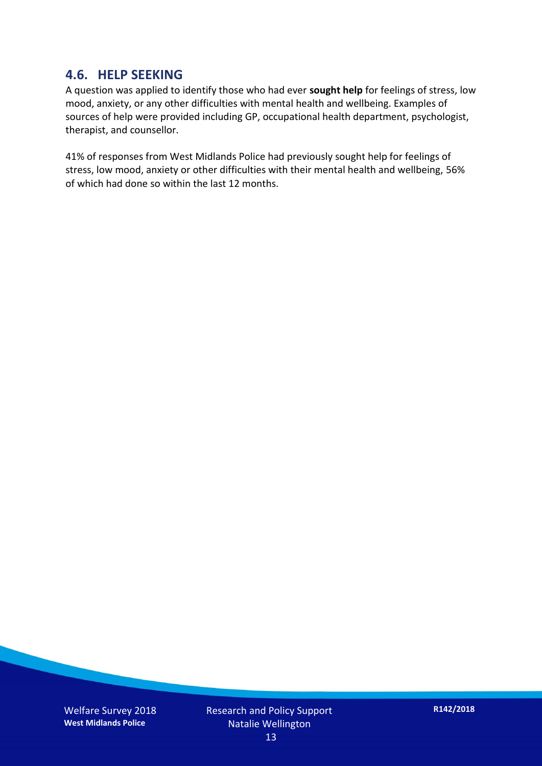#### **4.6. HELP SEEKING**

A question was applied to identify those who had ever **sought help** for feelings of stress, low mood, anxiety, or any other difficulties with mental health and wellbeing. Examples of sources of help were provided including GP, occupational health department, psychologist, therapist, and counsellor.

41% of responses from West Midlands Police had previously sought help for feelings of stress, low mood, anxiety or other difficulties with their mental health and wellbeing, 56% of which had done so within the last 12 months.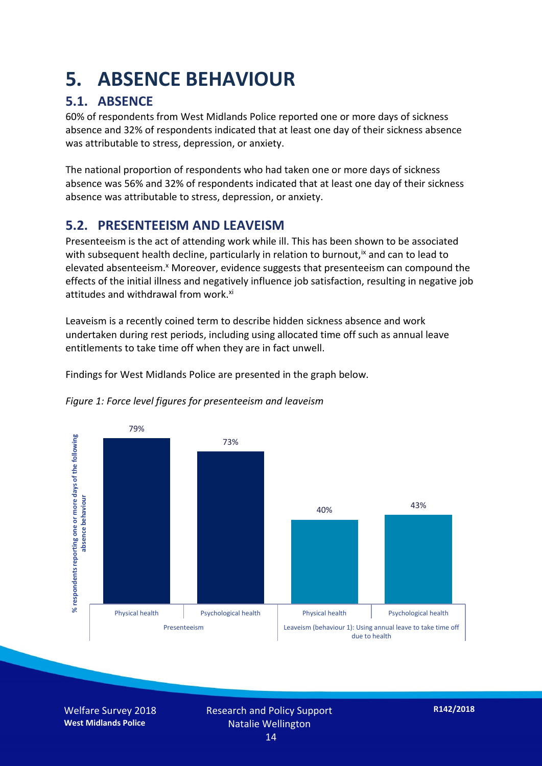### **5. ABSENCE BEHAVIOUR**

#### **5.1. ABSENCE**

60% of respondents from West Midlands Police reported one or more days of sickness absence and 32% of respondents indicated that at least one day of their sickness absence was attributable to stress, depression, or anxiety.

The national proportion of respondents who had taken one or more days of sickness absence was 56% and 32% of respondents indicated that at least one day of their sickness absence was attributable to stress, depression, or anxiety.

#### **5.2. PRESENTEEISM AND LEAVEISM**

Presenteeism is the act of attending work while ill. This has been shown to be associated with subsequent health decline, particularly in relation to burnout,  $\alpha$  and can to lead to elevated absenteeism.<sup>x</sup> Moreover, evidence suggests that presenteeism can compound the effects of the initial illness and negatively influence job satisfaction, resulting in negative job attitudes and withdrawal from work.<sup>xi</sup>

Leaveism is a recently coined term to describe hidden sickness absence and work undertaken during rest periods, including using allocated time off such as annual leave entitlements to take time off when they are in fact unwell.

Findings for West Midlands Police are presented in the graph below.



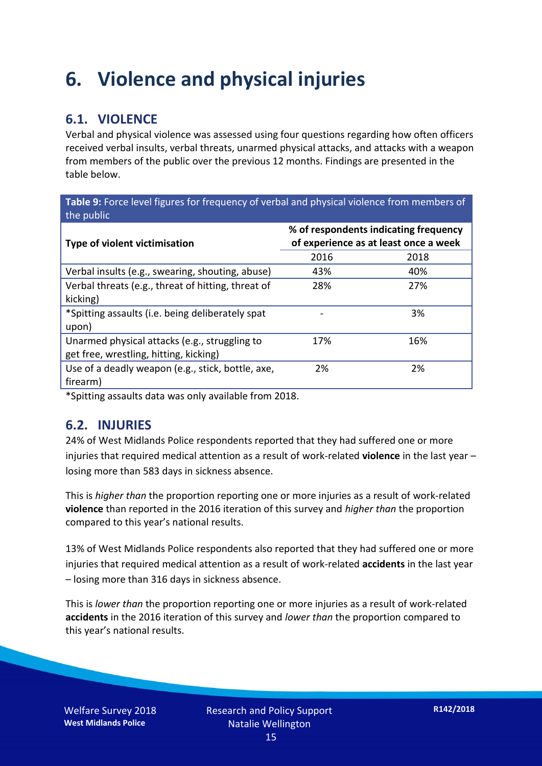### **6. Violence and physical injuries**

#### **6.1. VIOLENCE**

Verbal and physical violence was assessed using four questions regarding how often officers received verbal insults, verbal threats, unarmed physical attacks, and attacks with a weapon from members of the public over the previous 12 months. Findings are presented in the table below.

**Table 9:** Force level figures for frequency of verbal and physical violence from members of the public

| Type of violent victimisation                      | % of respondents indicating frequency<br>of experience as at least once a week |      |  |
|----------------------------------------------------|--------------------------------------------------------------------------------|------|--|
|                                                    | 2016                                                                           | 2018 |  |
| Verbal insults (e.g., swearing, shouting, abuse)   | 43%                                                                            | 40%  |  |
| Verbal threats (e.g., threat of hitting, threat of | 28%                                                                            | 27%  |  |
| kicking)                                           |                                                                                |      |  |
| *Spitting assaults (i.e. being deliberately spat   |                                                                                | 3%   |  |
| upon)                                              |                                                                                |      |  |
| Unarmed physical attacks (e.g., struggling to      | 17%                                                                            | 16%  |  |
| get free, wrestling, hitting, kicking)             |                                                                                |      |  |
| Use of a deadly weapon (e.g., stick, bottle, axe,  | 2%                                                                             | 2%   |  |
| firearm)                                           |                                                                                |      |  |

\*Spitting assaults data was only available from 2018.

#### **6.2. INJURIES**

24% of West Midlands Police respondents reported that they had suffered one or more injuries that required medical attention as a result of work-related **violence** in the last year – losing more than 583 days in sickness absence.

This is *higher than* the proportion reporting one or more injuries as a result of work-related **violence** than reported in the 2016 iteration of this survey and *higher than* the proportion compared to this year's national results.

13% of West Midlands Police respondents also reported that they had suffered one or more injuries that required medical attention as a result of work-related **accidents** in the last year – losing more than 316 days in sickness absence.

This is *lower than* the proportion reporting one or more injuries as a result of work-related **accidents** in the 2016 iteration of this survey and *lower than* the proportion compared to this year's national results.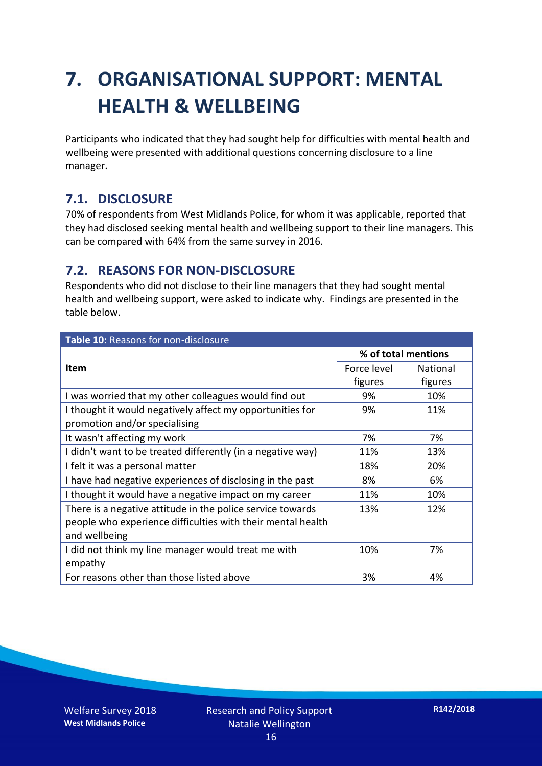### **7. ORGANISATIONAL SUPPORT: MENTAL HEALTH & WELLBEING**

Participants who indicated that they had sought help for difficulties with mental health and wellbeing were presented with additional questions concerning disclosure to a line manager.

#### **7.1. DISCLOSURE**

70% of respondents from West Midlands Police, for whom it was applicable, reported that they had disclosed seeking mental health and wellbeing support to their line managers. This can be compared with 64% from the same survey in 2016.

#### **7.2. REASONS FOR NON-DISCLOSURE**

Respondents who did not disclose to their line managers that they had sought mental health and wellbeing support, were asked to indicate why. Findings are presented in the table below.

| Table 10: Reasons for non-disclosure                        |                     |                 |
|-------------------------------------------------------------|---------------------|-----------------|
|                                                             | % of total mentions |                 |
| Item                                                        | Force level         | <b>National</b> |
|                                                             | figures             | figures         |
| I was worried that my other colleagues would find out       | 9%                  | 10%             |
| I thought it would negatively affect my opportunities for   | 9%                  | 11%             |
| promotion and/or specialising                               |                     |                 |
| It wasn't affecting my work                                 | 7%                  | 7%              |
| I didn't want to be treated differently (in a negative way) | 11%                 | 13%             |
| I felt it was a personal matter                             | 18%                 | 20%             |
| I have had negative experiences of disclosing in the past   | 8%                  | 6%              |
| I thought it would have a negative impact on my career      | 11%                 | 10%             |
| There is a negative attitude in the police service towards  | 13%                 | 12%             |
| people who experience difficulties with their mental health |                     |                 |
| and wellbeing                                               |                     |                 |
| I did not think my line manager would treat me with         | 10%                 | 7%              |
| empathy                                                     |                     |                 |
| For reasons other than those listed above                   | 3%                  | 4%              |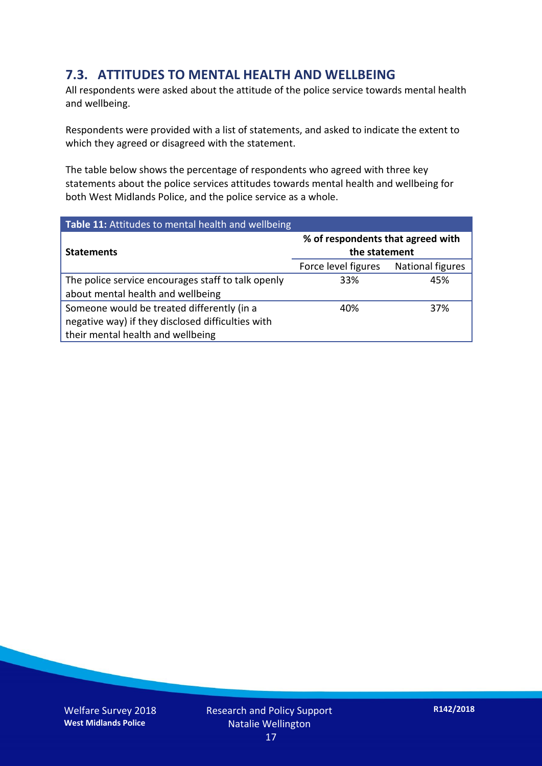#### **7.3. ATTITUDES TO MENTAL HEALTH AND WELLBEING**

All respondents were asked about the attitude of the police service towards mental health and wellbeing.

Respondents were provided with a list of statements, and asked to indicate the extent to which they agreed or disagreed with the statement.

The table below shows the percentage of respondents who agreed with three key statements about the police services attitudes towards mental health and wellbeing for both West Midlands Police, and the police service as a whole.

| Table 11: Attitudes to mental health and wellbeing |                                                    |                         |  |
|----------------------------------------------------|----------------------------------------------------|-------------------------|--|
| <b>Statements</b>                                  | % of respondents that agreed with<br>the statement |                         |  |
|                                                    | Force level figures                                | <b>National figures</b> |  |
| The police service encourages staff to talk openly | 33%                                                | 45%                     |  |
| about mental health and wellbeing                  |                                                    |                         |  |
| Someone would be treated differently (in a         | 40%                                                | 37%                     |  |
| negative way) if they disclosed difficulties with  |                                                    |                         |  |
| their mental health and wellbeing                  |                                                    |                         |  |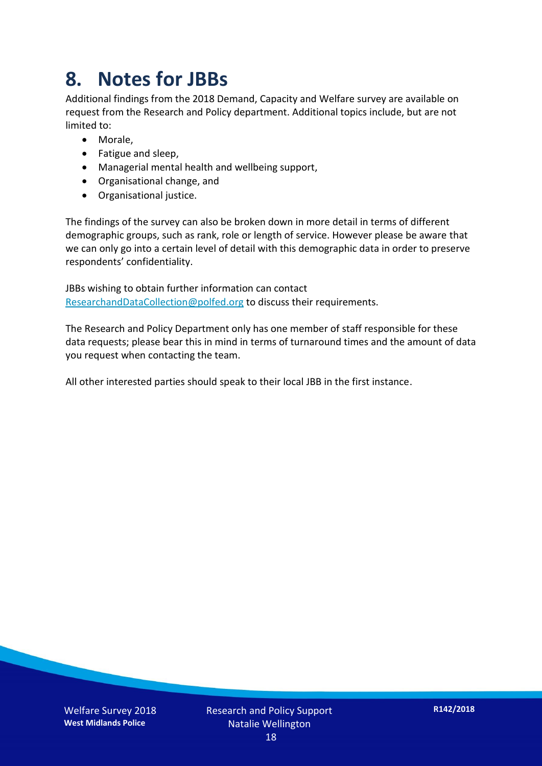### **8. Notes for JBBs**

Additional findings from the 2018 Demand, Capacity and Welfare survey are available on request from the Research and Policy department. Additional topics include, but are not limited to:

- Morale,
- Fatigue and sleep,
- Managerial mental health and wellbeing support,
- Organisational change, and
- Organisational justice.

The findings of the survey can also be broken down in more detail in terms of different demographic groups, such as rank, role or length of service. However please be aware that we can only go into a certain level of detail with this demographic data in order to preserve respondents' confidentiality.

JBBs wishing to obtain further information can contact [ResearchandDataCollection@polfed.org](mailto:ResearchandDataCollection@polfed.org) to discuss their requirements.

The Research and Policy Department only has one member of staff responsible for these data requests; please bear this in mind in terms of turnaround times and the amount of data you request when contacting the team.

All other interested parties should speak to their local JBB in the first instance.